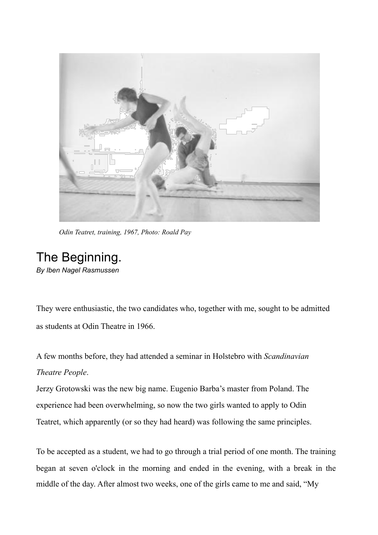

*Odin Teatret, training, 1967, Photo: Roald Pay*

## The Beginning.

*By Iben Nagel Rasmussen*

They were enthusiastic, the two candidates who, together with me, sought to be admitted as students at Odin Theatre in 1966.

A few months before, they had attended a seminar in Holstebro with *Scandinavian Theatre People*.

Jerzy Grotowski was the new big name. Eugenio Barba's master from Poland. The experience had been overwhelming, so now the two girls wanted to apply to Odin Teatret, which apparently (or so they had heard) was following the same principles.

To be accepted as a student, we had to go through a trial period of one month. The training began at seven o'clock in the morning and ended in the evening, with a break in the middle of the day. After almost two weeks, one of the girls came to me and said, "My